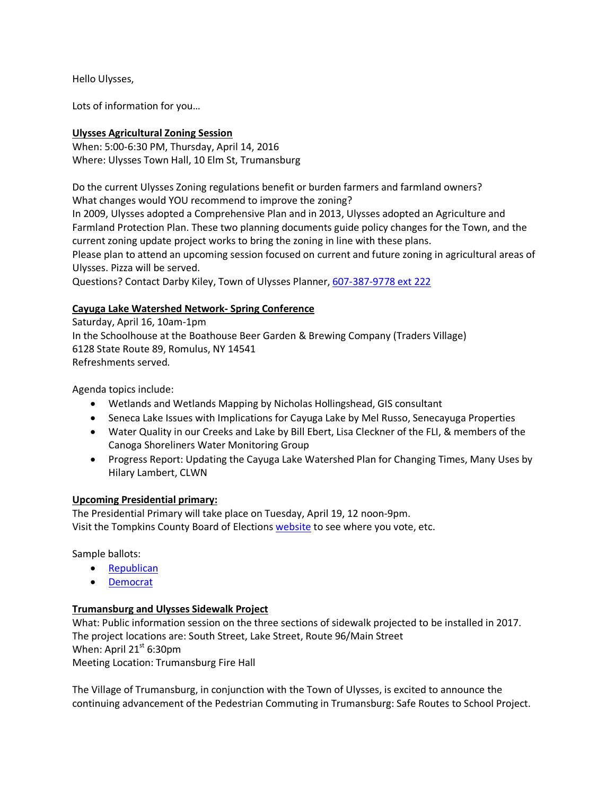Hello Ulysses,

Lots of information for you…

# **Ulysses Agricultural Zoning Session**

When: 5:00-6:30 PM, Thursday, April 14, 2016 Where: Ulysses Town Hall, 10 Elm St, Trumansburg

Do the current Ulysses Zoning regulations benefit or burden farmers and farmland owners? What changes would YOU recommend to improve the zoning?

In 2009, Ulysses adopted a Comprehensive Plan and in 2013, Ulysses adopted an Agriculture and Farmland Protection Plan. These two planning documents guide policy changes for the Town, and the current zoning update project works to bring the zoning in line with these plans.

Please plan to attend an upcoming session focused on current and future zoning in agricultural areas of Ulysses. Pizza will be served.

Questions? Contact Darby Kiley, Town of Ulysses Planner, [607-387-9778 ext 222](tel:607-387-9778%20ext%20222)

## **Cayuga Lake Watershed Network- Spring Conference**

Saturday, April 16, 10am-1pm In the Schoolhouse at the Boathouse Beer Garden & Brewing Company (Traders Village) 6128 State Route 89, Romulus, NY 14541 Refreshments served.

Agenda topics include:

- Wetlands and Wetlands Mapping by Nicholas Hollingshead, GIS consultant
- Seneca Lake Issues with Implications for Cayuga Lake by Mel Russo, Senecayuga Properties
- Water Quality in our Creeks and Lake by Bill Ebert, Lisa Cleckner of the FLI, & members of the Canoga Shoreliners Water Monitoring Group
- Progress Report: Updating the Cayuga Lake Watershed Plan for Changing Times, Many Uses by Hilary Lambert, CLWN

### **Upcoming Presidential primary:**

The Presidential Primary will take place on Tuesday, April 19, 12 noon-9pm. Visit the Tompkins County Board of Elections [website](http://www.tompkinscountyny.gov/boe) to see where you vote, etc.

Sample ballots:

- [Republican](http://www.tompkinscountyny.gov/files/boe/2016/Sample_Ballots/PRESPRI04192016REP.pdf)
- [Democrat](http://www.tompkinscountyny.gov/files/boe/2016/Sample_Ballots/PRESPRI04192016DEM.pdf)

### **Trumansburg and Ulysses Sidewalk Project**

What: Public information session on the three sections of sidewalk projected to be installed in 2017. The project locations are: South Street, Lake Street, Route 96/Main Street When: April  $21^{st}$  6:30pm Meeting Location: Trumansburg Fire Hall

The Village of Trumansburg, in conjunction with the Town of Ulysses, is excited to announce the continuing advancement of the Pedestrian Commuting in Trumansburg: Safe Routes to School Project.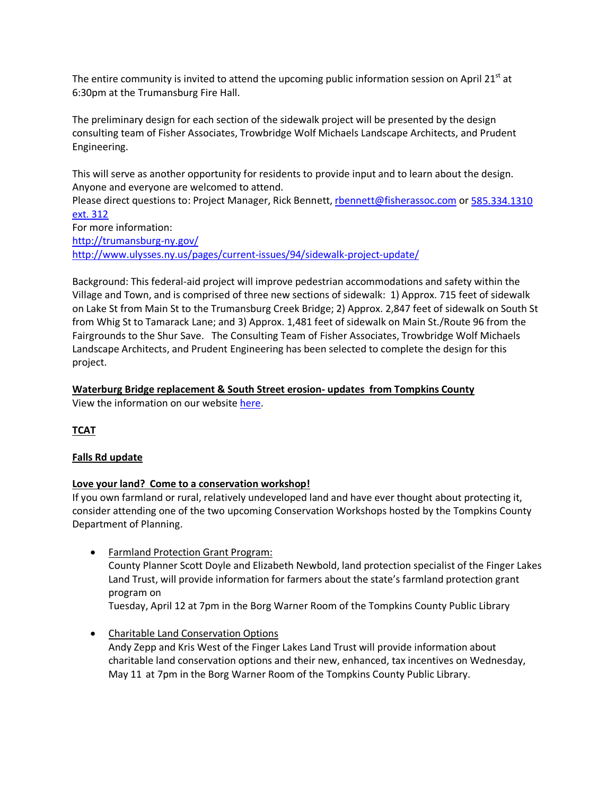The entire community is invited to attend the upcoming public information session on April 21<sup>st</sup> at 6:30pm at the Trumansburg Fire Hall.

The preliminary design for each section of the sidewalk project will be presented by the design consulting team of Fisher Associates, Trowbridge Wolf Michaels Landscape Architects, and Prudent Engineering.

This will serve as another opportunity for residents to provide input and to learn about the design. Anyone and everyone are welcomed to attend.

Please direct questions to: Project Manager, Rick Bennett, [rbennett@fisherassoc.com](mailto:rbennett@fisherassoc.com) or [585.334.1310](tel:585.334.1310%20ext.%20312)  [ext. 312](tel:585.334.1310%20ext.%20312)

For more information: <http://trumansburg-ny.gov/> <http://www.ulysses.ny.us/pages/current-issues/94/sidewalk-project-update/>

Background: This federal-aid project will improve pedestrian accommodations and safety within the Village and Town, and is comprised of three new sections of sidewalk: 1) Approx. 715 feet of sidewalk on Lake St from Main St to the Trumansburg Creek Bridge; 2) Approx. 2,847 feet of sidewalk on South St from Whig St to Tamarack Lane; and 3) Approx. 1,481 feet of sidewalk on Main St./Route 96 from the Fairgrounds to the Shur Save. The Consulting Team of Fisher Associates, Trowbridge Wolf Michaels Landscape Architects, and Prudent Engineering has been selected to complete the design for this project.

## **Waterburg Bridge replacement & South Street erosion- updates from Tompkins County**

View the information on our website [here.](http://www.ulysses.ny.us/pages/current-issues/104/waterburg-bridge-update/)

**TCAT**

### **Falls Rd update**

### **Love your land? Come to a conservation workshop!**

If you own farmland or rural, relatively undeveloped land and have ever thought about protecting it, consider attending one of the two upcoming Conservation Workshops hosted by the Tompkins County Department of Planning.

• Farmland Protection Grant Program:

County Planner Scott Doyle and Elizabeth Newbold, land protection specialist of the Finger Lakes Land Trust, will provide information for farmers about the state's farmland protection grant program on

Tuesday, April 12 at 7pm in the Borg Warner Room of the Tompkins County Public Library

• Charitable Land Conservation Options Andy Zepp and Kris West of the Finger Lakes Land Trust will provide information about charitable land conservation options and their new, enhanced, tax incentives on Wednesday, May 11 at 7pm in the Borg Warner Room of the Tompkins County Public Library.